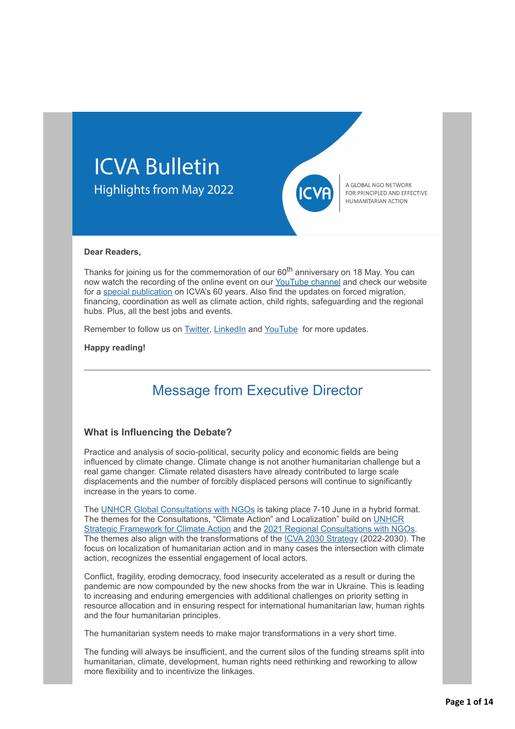



A GLOBAL NGO NETWORK FOR PRINCIPLED AND EFFECTIVE HUMANITARIAN ACTION

#### **Dear Readers,**

Thanks for joining us for the commemoration of our 60<sup>th</sup> anniversary on 18 May. You can now watch the recording of the online event on our [YouTube channel](http://icvanetwork.org/civicrm/?civiwp=CiviCRM&q=civicrm/mailing/url&u=19216&qid=1033019) and check our website for a [special publication](http://icvanetwork.org/civicrm/?civiwp=CiviCRM&q=civicrm/mailing/url&u=19217&qid=1033019) on ICVA's 60 years. Also find the updates on forced migration, financing, coordination as well as climate action, child rights, safeguarding and the regional hubs. Plus, all the best jobs and events.

Remember to follow us on **Twitter**, [LinkedIn](http://icvanetwork.org/civicrm/?civiwp=CiviCRM&q=civicrm/mailing/url&u=19219&qid=1033019) and [YouTube](http://icvanetwork.org/civicrm/?civiwp=CiviCRM&q=civicrm/mailing/url&u=19203&qid=1030643) for more updates.

**Happy reading!**

# Message from Executive Director

#### **What is Influencing the Debate?**

Practice and analysis of socio-political, security policy and economic fields are being influenced by climate change. Climate change is not another humanitarian challenge but a real game changer. Climate related disasters have already contributed to large scale displacements and the number of forcibly displaced persons will continue to significantly increase in the years to come.

The [UNHCR Global Consultations with NGOs](http://icvanetwork.org/civicrm/?civiwp=CiviCRM&q=civicrm/mailing/url&u=19220&qid=1033019) is taking place 7-10 June in a hybrid format. The themes for the Consultations, "Climate Action" and Localization" build on UNHCR [Strategic Framework for Climate Action and the 2021 Regional Consultations with NG](http://icvanetwork.org/civicrm/?civiwp=CiviCRM&q=civicrm/mailing/url&u=19221&qid=1033019)[Os](http://icvanetwork.org/civicrm/?civiwp=CiviCRM&q=civicrm/mailing/url&u=19222&qid=1033019). The themes also align with the transformations of the [ICVA 2030 Strategy](http://icvanetwork.org/civicrm/?civiwp=CiviCRM&q=civicrm/mailing/url&u=19223&qid=1033019) (2022-2030). The focus on localization of humanitarian action and in many cases the intersection with climate action, recognizes the essential engagement of local actors.

Conflict, fragility, eroding democracy, food insecurity accelerated as a result or during the pandemic are now compounded by the new shocks from the war in Ukraine. This is leading to increasing and enduring emergencies with additional challenges on priority setting in resource allocation and in ensuring respect for international humanitarian law, human rights and the four humanitarian principles.

The humanitarian system needs to make major transformations in a very short time.

The funding will always be insufficient, and the current silos of the funding streams split into humanitarian, climate, development, human rights need rethinking and reworking to allow more flexibility and to incentivize the linkages.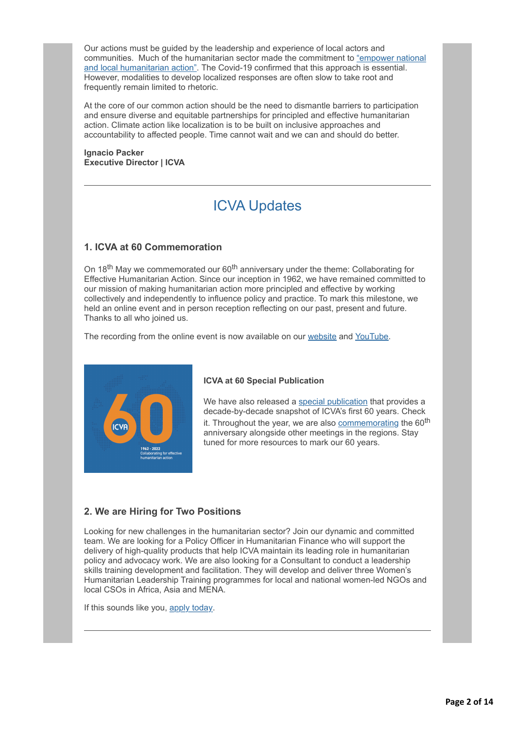Our actions must be guided by the leadership and experience of local actors and [communities. Much of the humanitarian sector made the commitment to "empower national](http://icvanetwork.org/civicrm/?civiwp=CiviCRM&q=civicrm/mailing/url&u=19224&qid=1033019) and local humanitarian action". The Covid-19 confirmed that this approach is essential. However, modalities to develop localized responses are often slow to take root and frequently remain limited to rhetoric.

At the core of our common action should be the need to dismantle barriers to participation and ensure diverse and equitable partnerships for principled and effective humanitarian action. Climate action like localization is to be built on inclusive approaches and accountability to affected people. Time cannot wait and we can and should do better.

**Ignacio Packer Executive Director | ICVA**

# ICVA Updates

### **1. ICVA at 60 Commemoration**

On 18<sup>th</sup> May we commemorated our 60<sup>th</sup> anniversary under the theme: Collaborating for Effective Humanitarian Action. Since our inception in 1962, we have remained committed to our mission of making humanitarian action more principled and effective by working collectively and independently to influence policy and practice. To mark this milestone, we held an online event and in person reception reflecting on our past, present and future. Thanks to all who joined us.

The recording from the online event is now available on our [website](http://icvanetwork.org/civicrm/?civiwp=CiviCRM&q=civicrm/mailing/url&u=19225&qid=1033019) and [YouTube.](http://icvanetwork.org/civicrm/?civiwp=CiviCRM&q=civicrm/mailing/url&u=19216&qid=1033019)



#### **ICVA at 60 Special Publication**

We have also released a [special publication](http://icvanetwork.org/civicrm/?civiwp=CiviCRM&q=civicrm/mailing/url&u=19217&qid=1033019) that provides a decade-by-decade snapshot of ICVA's first 60 years. Check it. Throughout the year, we are also [commemorating](http://icvanetwork.org/civicrm/?civiwp=CiviCRM&q=civicrm/mailing/url&u=19225&qid=1033019) the 60<sup>th</sup> anniversary alongside other meetings in the regions. Stay tuned for more resources to mark our 60 years.

## **2. We are Hiring for Two Positions**

Looking for new challenges in the humanitarian sector? Join our dynamic and committed team. We are looking for a Policy Officer in Humanitarian Finance who will support the delivery of high-quality products that help ICVA maintain its leading role in humanitarian policy and advocacy work. We are also looking for a Consultant to conduct a leadership skills training development and facilitation. They will develop and deliver three Women's Humanitarian Leadership Training programmes for local and national women-led NGOs and local CSOs in Africa, Asia and MENA.

If this sounds like you, [apply today.](http://icvanetwork.org/civicrm/?civiwp=CiviCRM&q=civicrm/mailing/url&u=19227&qid=1033019)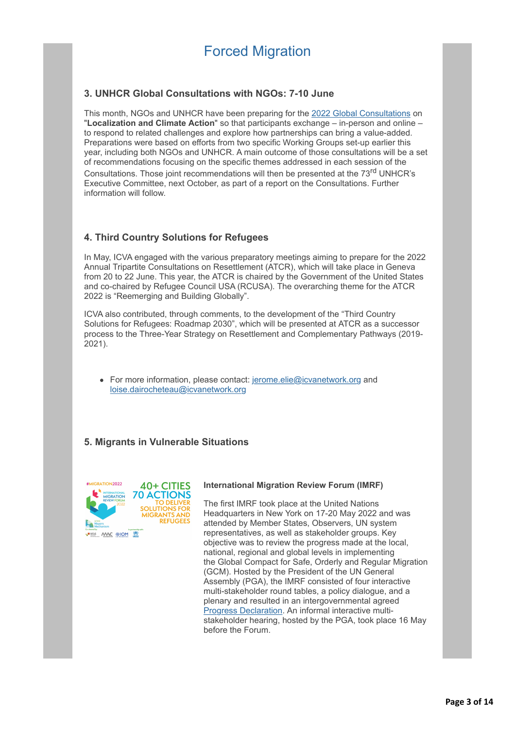## **3. UNHCR Global Consultations with NGOs: 7-10 June**

This month, NGOs and UNHCR have been preparing for the [2022 Global Consultations](http://icvanetwork.org/civicrm/?civiwp=CiviCRM&q=civicrm/mailing/url&u=19228&qid=1033019) on "**Localization and Climate Action**" so that participants exchange – in-person and online – to respond to related challenges and explore how partnerships can bring a value-added. Preparations were based on efforts from two specific Working Groups set-up earlier this year, including both NGOs and UNHCR. A main outcome of those consultations will be a set of recommendations focusing on the specific themes addressed in each session of the Consultations. Those joint recommendations will then be presented at the 73<sup>rd</sup> UNHCR's Executive Committee, next October, as part of a report on the Consultations. Further information will follow.

## **4. Third Country Solutions for Refugees**

In May, ICVA engaged with the various preparatory meetings aiming to prepare for the 2022 Annual Tripartite Consultations on Resettlement (ATCR), which will take place in Geneva from 20 to 22 June. This year, the ATCR is chaired by the Government of the United States and co-chaired by Refugee Council USA (RCUSA). The overarching theme for the ATCR 2022 is "Reemerging and Building Globally".

ICVA also contributed, through comments, to the development of the "Third Country Solutions for Refugees: Roadmap 2030", which will be presented at ATCR as a successor process to the Three-Year Strategy on Resettlement and Complementary Pathways (2019- 2021).

• For more information, please contact: [jerome.elie@icvanetwork.org](http://icvanetwork.org/civicrm/?civiwp=CiviCRM&q=civicrm/mailing/url&u=19229&qid=1033019) and [loise.dairocheteau@icvanetwork.org](http://icvanetwork.org/civicrm/?civiwp=CiviCRM&q=civicrm/mailing/url&u=19230&qid=1033019)

## **5. Migrants in Vulnerable Situations**



#### **International Migration Review Forum (IMRF)**

The first IMRF took place at the United Nations Headquarters in New York on 17-20 May 2022 and was attended by Member States, Observers, UN system representatives, as well as stakeholder groups. Key objective was to review the progress made at the local, national, regional and global levels in implementing the Global Compact for Safe, Orderly and Regular Migration (GCM). Hosted by the President of the UN General Assembly (PGA), the IMRF consisted of four interactive multi-stakeholder round tables, a policy dialogue, and a plenary and resulted in an intergovernmental agreed [Progress Declaration](http://icvanetwork.org/civicrm/?civiwp=CiviCRM&q=civicrm/mailing/url&u=19231&qid=1033019). An informal interactive multistakeholder hearing, hosted by the PGA, took place 16 May before the Forum.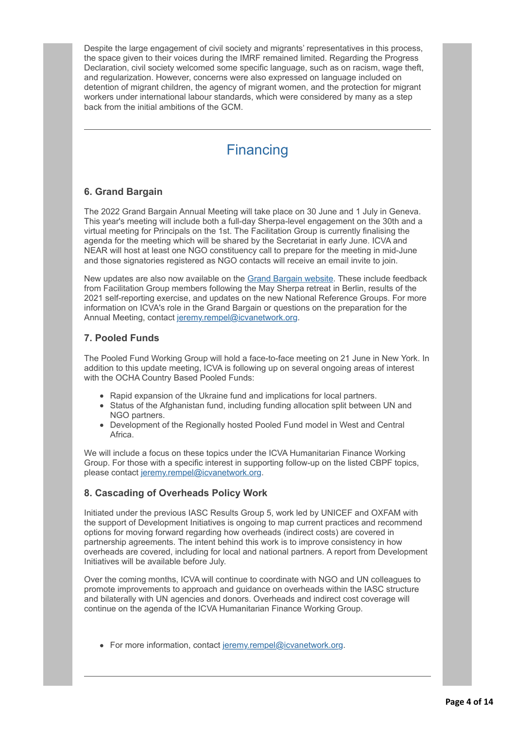Despite the large engagement of civil society and migrants' representatives in this process, the space given to their voices during the IMRF remained limited. Regarding the Progress Declaration, civil society welcomed some specific language, such as on racism, wage theft, and regularization. However, concerns were also expressed on language included on detention of migrant children, the agency of migrant women, and the protection for migrant workers under international labour standards, which were considered by many as a step back from the initial ambitions of the GCM.

# **Financing**

## **6. Grand Bargain**

The 2022 Grand Bargain Annual Meeting will take place on 30 June and 1 July in Geneva. This year's meeting will include both a full-day Sherpa-level engagement on the 30th and a virtual meeting for Principals on the 1st. The Facilitation Group is currently finalising the agenda for the meeting which will be shared by the Secretariat in early June. ICVA and NEAR will host at least one NGO constituency call to prepare for the meeting in mid-June and those signatories registered as NGO contacts will receive an email invite to join.

New updates are also now available on the [Grand Bargain website](http://icvanetwork.org/civicrm/?civiwp=CiviCRM&q=civicrm/mailing/url&u=19232&qid=1033019). These include feedback from Facilitation Group members following the May Sherpa retreat in Berlin, results of the 2021 self-reporting exercise, and updates on the new National Reference Groups. For more information on ICVA's role in the Grand Bargain or questions on the preparation for the Annual Meeting, contact [jeremy.rempel@icvanetwork.org.](http://icvanetwork.org/civicrm/?civiwp=CiviCRM&q=civicrm/mailing/url&u=19233&qid=1033019)

### **7. Pooled Funds**

The Pooled Fund Working Group will hold a face-to-face meeting on 21 June in New York. In addition to this update meeting, ICVA is following up on several ongoing areas of interest with the OCHA Country Based Pooled Funds:

- Rapid expansion of the Ukraine fund and implications for local partners.
- Status of the Afghanistan fund, including funding allocation split between UN and NGO partners.
- Development of the Regionally hosted Pooled Fund model in West and Central Africa.

We will include a focus on these topics under the ICVA Humanitarian Finance Working Group. For those with a specific interest in supporting follow-up on the listed CBPF topics, please contact [jeremy.rempel@icvanetwork.org](http://icvanetwork.org/civicrm/?civiwp=CiviCRM&q=civicrm/mailing/url&u=19233&qid=1033019).

## **8. Cascading of Overheads Policy Work**

Initiated under the previous IASC Results Group 5, work led by UNICEF and OXFAM with the support of Development Initiatives is ongoing to map current practices and recommend options for moving forward regarding how overheads (indirect costs) are covered in partnership agreements. The intent behind this work is to improve consistency in how overheads are covered, including for local and national partners. A report from Development Initiatives will be available before July.

Over the coming months, ICVA will continue to coordinate with NGO and UN colleagues to promote improvements to approach and guidance on overheads within the IASC structure and bilaterally with UN agencies and donors. Overheads and indirect cost coverage will continue on the agenda of the ICVA Humanitarian Finance Working Group.

• For more information, contact [jeremy.rempel@icvanetwork.org](http://icvanetwork.org/civicrm/?civiwp=CiviCRM&q=civicrm/mailing/url&u=19233&qid=1033019).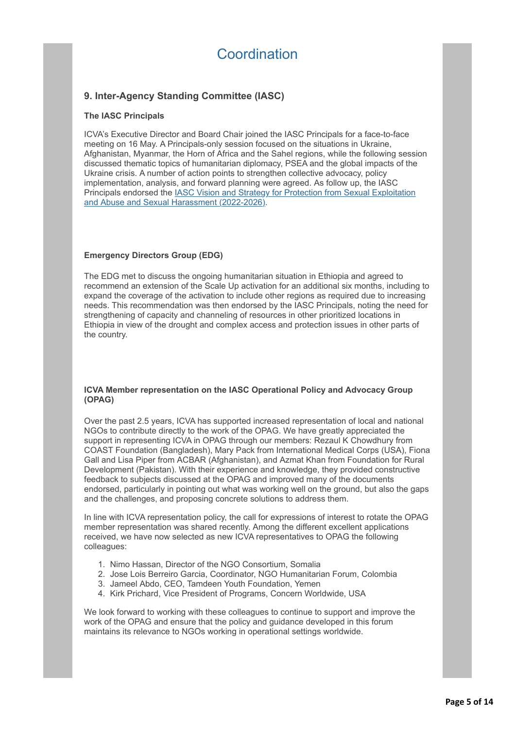# Coordination

## **9. Inter-Agency Standing Committee (IASC)**

#### **The IASC Principals**

ICVA's Executive Director and Board Chair joined the IASC Principals for a face-to-face meeting on 16 May. A Principals-only session focused on the situations in Ukraine, Afghanistan, Myanmar, the Horn of Africa and the Sahel regions, while the following session discussed thematic topics of humanitarian diplomacy, PSEA and the global impacts of the Ukraine crisis. A number of action points to strengthen collective advocacy, policy implementation, analysis, and forward planning were agreed. As follow up, the IASC [Principals endorsed the IASC Vision and Strategy for Protection from Sexual Exploitation](http://icvanetwork.org/civicrm/?civiwp=CiviCRM&q=civicrm/mailing/url&u=19234&qid=1033019) and Abuse and Sexual Harassment (2022-2026).

#### **Emergency Directors Group (EDG)**

The EDG met to discuss the ongoing humanitarian situation in Ethiopia and agreed to recommend an extension of the Scale Up activation for an additional six months, including to expand the coverage of the activation to include other regions as required due to increasing needs. This recommendation was then endorsed by the IASC Principals, noting the need for strengthening of capacity and channeling of resources in other prioritized locations in Ethiopia in view of the drought and complex access and protection issues in other parts of the country.

#### **ICVA Member representation on the IASC Operational Policy and Advocacy Group (OPAG)**

Over the past 2.5 years, ICVA has supported increased representation of local and national NGOs to contribute directly to the work of the OPAG. We have greatly appreciated the support in representing ICVA in OPAG through our members: Rezaul K Chowdhury from COAST Foundation (Bangladesh), Mary Pack from International Medical Corps (USA), Fiona Gall and Lisa Piper from ACBAR (Afghanistan), and Azmat Khan from Foundation for Rural Development (Pakistan). With their experience and knowledge, they provided constructive feedback to subjects discussed at the OPAG and improved many of the documents endorsed, particularly in pointing out what was working well on the ground, but also the gaps and the challenges, and proposing concrete solutions to address them.

In line with ICVA representation policy, the call for expressions of interest to rotate the OPAG member representation was shared recently. Among the different excellent applications received, we have now selected as new ICVA representatives to OPAG the following colleagues:

- 1. Nimo Hassan, Director of the NGO Consortium, Somalia
- 2. Jose Lois Berreiro Garcia, Coordinator, NGO Humanitarian Forum, Colombia
- 3. Jameel Abdo, CEO, Tamdeen Youth Foundation, Yemen
- 4. Kirk Prichard, Vice President of Programs, Concern Worldwide, USA

We look forward to working with these colleagues to continue to support and improve the work of the OPAG and ensure that the policy and guidance developed in this forum maintains its relevance to NGOs working in operational settings worldwide.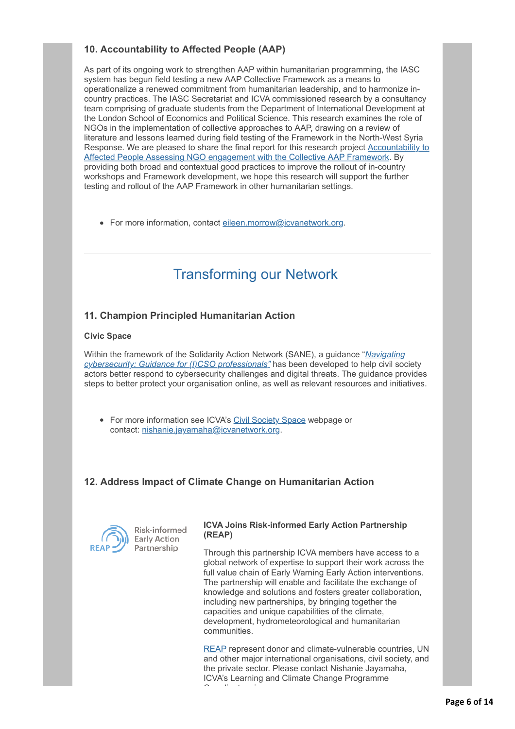## **10. Accountability to Affected People (AAP)**

As part of its ongoing work to strengthen AAP within humanitarian programming, the IASC system has begun field testing a new AAP Collective Framework as a means to operationalize a renewed commitment from humanitarian leadership, and to harmonize incountry practices. The IASC Secretariat and ICVA commissioned research by a consultancy team comprising of graduate students from the Department of International Development at the London School of Economics and Political Science. This research examines the role of NGOs in the implementation of collective approaches to AAP, drawing on a review of literature and lessons learned during field testing of the Framework in the North-West Syria [Response. We are pleased to share the final report for this research project Accountability to](http://icvanetwork.org/civicrm/?civiwp=CiviCRM&q=civicrm/mailing/url&u=19235&qid=1033019) Affected People Assessing NGO engagement with the Collective AAP Framework. By providing both broad and contextual good practices to improve the rollout of in-country workshops and Framework development, we hope this research will support the further testing and rollout of the AAP Framework in other humanitarian settings.

• For more information, contact [eileen.morrow@icvanetwork.org.](http://icvanetwork.org/civicrm/?civiwp=CiviCRM&q=civicrm/mailing/url&u=19236&qid=1033019)

# Transforming our Network

## **11. Champion Principled Humanitarian Action**

#### **Civic Space**

[Within the framework of the Solidarity Action Network \(SANE\), a guidance "](http://icvanetwork.org/civicrm/?civiwp=CiviCRM&q=civicrm/mailing/url&u=19237&qid=1033019)*Navigating cybersecurity: Guidance for (I)CSO professionals"* has been developed to help civil society actors better respond to cybersecurity challenges and digital threats. The guidance provides steps to better protect your organisation online, as well as relevant resources and initiatives.

• For more information see ICVA's [Civil Society Space](http://icvanetwork.org/civicrm/?civiwp=CiviCRM&q=civicrm/mailing/url&u=19238&qid=1033019) webpage or contact: [nishanie.jayamaha@icvanetwork.org.](http://icvanetwork.org/civicrm/?civiwp=CiviCRM&q=civicrm/mailing/url&u=19239&qid=1033019)

## **12. Address Impact of Climate Change on Humanitarian Action**



Risk-informed **Early Action** Partnership

#### **ICVA Joins Risk-informed Early Action Partnership (REAP)**

Through this partnership ICVA members have access to a global network of expertise to support their work across the full value chain of Early Warning Early Action interventions. The partnership will enable and facilitate the exchange of knowledge and solutions and fosters greater collaboration, including new partnerships, by bringing together the capacities and unique capabilities of the climate, development, hydrometeorological and humanitarian communities.

[REAP](http://icvanetwork.org/civicrm/?civiwp=CiviCRM&q=civicrm/mailing/url&u=19240&qid=1033019) represent donor and climate-vulnerable countries, UN and other major international organisations, civil society, and the private sector. Please contact Nishanie Jayamaha, ICVA's Learning and Climate Change Programme Coordinator via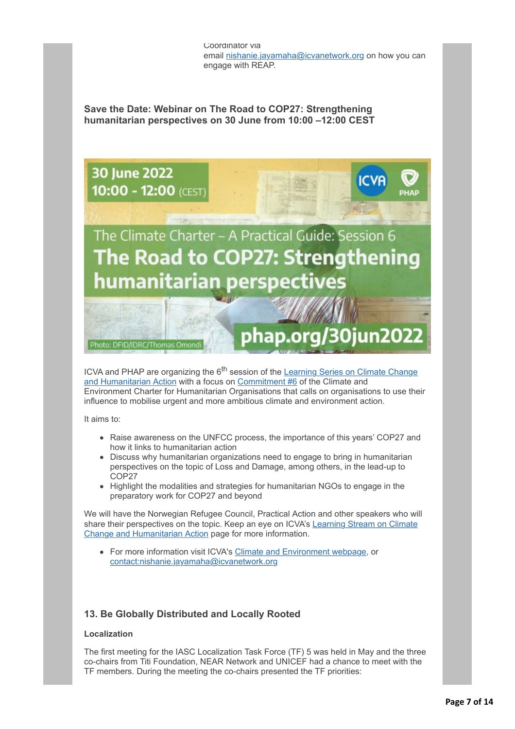Coordinator via email [nishanie.jayamaha@icvanetwork.org](http://icvanetwork.org/civicrm/?civiwp=CiviCRM&q=civicrm/mailing/url&u=19241&qid=1033019) on how you can engage with REAP.

**Save the Date: Webinar on The Road to COP27: Strengthening humanitarian perspectives on 30 June from 10:00 –12:00 CEST**



ICVA and PHAP are organizing the 6<sup>th</sup> session of the Learning Series on Climate Change [and Humanitarian Action with a focus on Commitment #6 of the Climate and](http://icvanetwork.org/civicrm/?civiwp=CiviCRM&q=civicrm/mailing/url&u=18024&qid=978229) Environment Charter for Humanitarian Organisations that calls on organisations to use their influence to mobilise urgent and more ambitious climate and environment action.

It aims to:

- Raise awareness on the UNFCC process, the importance of this years' COP27 and how it links to humanitarian action
- Discuss why humanitarian organizations need to engage to bring in humanitarian perspectives on the topic of Loss and Damage, among others, in the lead-up to COP27
- Highlight the modalities and strategies for humanitarian NGOs to engage in the preparatory work for COP27 and beyond

We will have the Norwegian Refugee Council, Practical Action and other speakers who will [share their perspectives on the topic. Keep an eye on ICVA's Learning Stream on Climate](http://icvanetwork.org/civicrm/?civiwp=CiviCRM&q=civicrm/mailing/url&u=19242&qid=1033019) Change and Humanitarian Action page for more information.

For more information visit ICVA's [Climate and Environment webpage,](http://icvanetwork.org/civicrm/?civiwp=CiviCRM&q=civicrm/mailing/url&u=19242&qid=1033019) or [contact:nishanie.jayamaha@icvanetwork.org](http://icvanetwork.org/civicrm/?civiwp=CiviCRM&q=civicrm/mailing/url&u=19244&qid=1033019)

### **13. Be Globally Distributed and Locally Rooted**

#### **Localization**

The first meeting for the IASC Localization Task Force (TF) 5 was held in May and the three co-chairs from Titi Foundation, NEAR Network and UNICEF had a chance to meet with the TF members. During the meeting the co-chairs presented the TF priorities: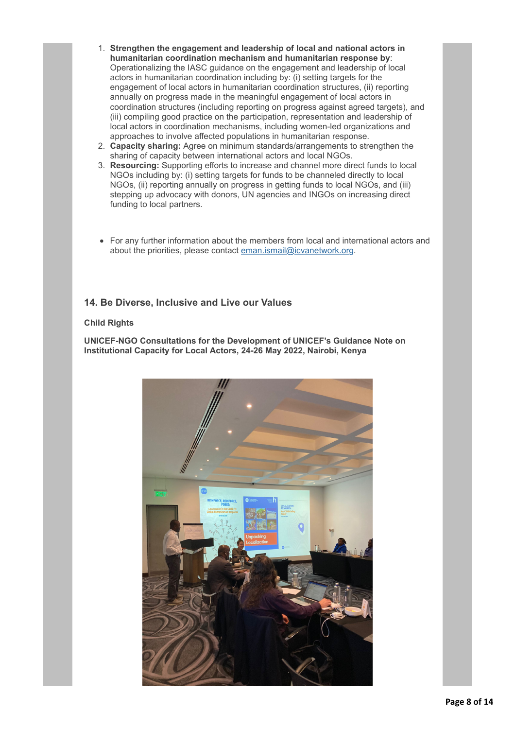- 1. **Strengthen the engagement and leadership of local and national actors in humanitarian coordination mechanism and humanitarian response by**: Operationalizing the IASC guidance on the engagement and leadership of local actors in humanitarian coordination including by: (i) setting targets for the engagement of local actors in humanitarian coordination structures, (ii) reporting annually on progress made in the meaningful engagement of local actors in coordination structures (including reporting on progress against agreed targets), and (iii) compiling good practice on the participation, representation and leadership of local actors in coordination mechanisms, including women-led organizations and approaches to involve affected populations in humanitarian response.
- 2. **Capacity sharing:** Agree on minimum standards/arrangements to strengthen the sharing of capacity between international actors and local NGOs.
- 3. **Resourcing:** Supporting efforts to increase and channel more direct funds to local NGOs including by: (i) setting targets for funds to be channeled directly to local NGOs, (ii) reporting annually on progress in getting funds to local NGOs, and (iii) stepping up advocacy with donors, UN agencies and INGOs on increasing direct funding to local partners.
- For any further information about the members from local and international actors and about the priorities, please contact [eman.ismail@icvanetwork.org.](http://icvanetwork.org/civicrm/?civiwp=CiviCRM&q=civicrm/mailing/url&u=19245&qid=1033019)

### **14. Be Diverse, Inclusive and Live our Values**

#### **Child Rights**

**UNICEF-NGO Consultations for the Development of UNICEF's Guidance Note on Institutional Capacity for Local Actors, 24-26 May 2022, Nairobi, Kenya**

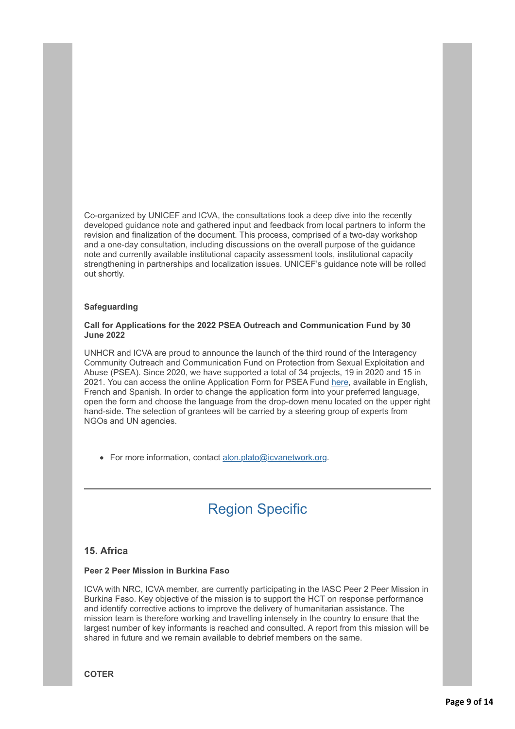Co-organized by UNICEF and ICVA, the consultations took a deep dive into the recently developed guidance note and gathered input and feedback from local partners to inform the revision and finalization of the document. This process, comprised of a two-day workshop and a one-day consultation, including discussions on the overall purpose of the guidance note and currently available institutional capacity assessment tools, institutional capacity strengthening in partnerships and localization issues. UNICEF's guidance note will be rolled out shortly.

#### **Safeguarding**

#### **Call for Applications for the 2022 PSEA Outreach and Communication Fund by 30 June 2022**

UNHCR and ICVA are proud to announce the launch of the third round of the Interagency Community Outreach and Communication Fund on Protection from Sexual Exploitation and Abuse (PSEA). Since 2020, we have supported a total of 34 projects, 19 in 2020 and 15 in 2021. You can access the online Application Form for PSEA Fund [here,](http://icvanetwork.org/civicrm/?civiwp=CiviCRM&q=civicrm/mailing/url&u=19175&qid=1026106) available in English, French and Spanish. In order to change the application form into your preferred language, open the form and choose the language from the drop-down menu located on the upper right hand-side. The selection of grantees will be carried by a steering group of experts from NGOs and UN agencies.

• For more information, contact [alon.plato@icvanetwork.org.](http://icvanetwork.org/civicrm/?civiwp=CiviCRM&q=civicrm/mailing/url&u=19246&qid=1033019)

# Region Specific

### **15. Africa**

#### **Peer 2 Peer Mission in Burkina Faso**

ICVA with NRC, ICVA member, are currently participating in the IASC Peer 2 Peer Mission in Burkina Faso. Key objective of the mission is to support the HCT on response performance and identify corrective actions to improve the delivery of humanitarian assistance. The mission team is therefore working and travelling intensely in the country to ensure that the largest number of key informants is reached and consulted. A report from this mission will be shared in future and we remain available to debrief members on the same.

**COTER**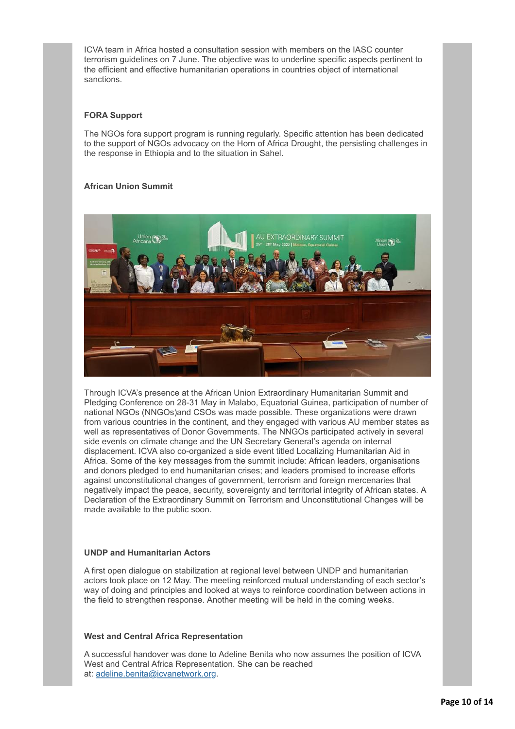ICVA team in Africa hosted a consultation session with members on the IASC counter terrorism guidelines on 7 June. The objective was to underline specific aspects pertinent to the efficient and effective humanitarian operations in countries object of international sanctions.

#### **FORA Support**

The NGOs fora support program is running regularly. Specific attention has been dedicated to the support of NGOs advocacy on the Horn of Africa Drought, the persisting challenges in the response in Ethiopia and to the situation in Sahel.

#### **African Union Summit**



Through ICVA's presence at the African Union Extraordinary Humanitarian Summit and Pledging Conference on 28-31 May in Malabo, Equatorial Guinea, participation of number of national NGOs (NNGOs)and CSOs was made possible. These organizations were drawn from various countries in the continent, and they engaged with various AU member states as well as representatives of Donor Governments. The NNGOs participated actively in several side events on climate change and the UN Secretary General's agenda on internal displacement. ICVA also co-organized a side event titled Localizing Humanitarian Aid in Africa. Some of the key messages from the summit include: African leaders, organisations and donors pledged to end humanitarian crises; and leaders promised to increase efforts against unconstitutional changes of government, terrorism and foreign mercenaries that negatively impact the peace, security, sovereignty and territorial integrity of African states. A Declaration of the Extraordinary Summit on Terrorism and Unconstitutional Changes will be made available to the public soon.

#### **UNDP and Humanitarian Actors**

A first open dialogue on stabilization at regional level between UNDP and humanitarian actors took place on 12 May. The meeting reinforced mutual understanding of each sector's way of doing and principles and looked at ways to reinforce coordination between actions in the field to strengthen response. Another meeting will be held in the coming weeks.

#### **West and Central Africa Representation**

A successful handover was done to Adeline Benita who now assumes the position of ICVA West and Central Africa Representation. She can be reached at: [adeline.benita@icvanetwork.org.](http://icvanetwork.org/civicrm/?civiwp=CiviCRM&q=civicrm/mailing/url&u=19247&qid=1033019)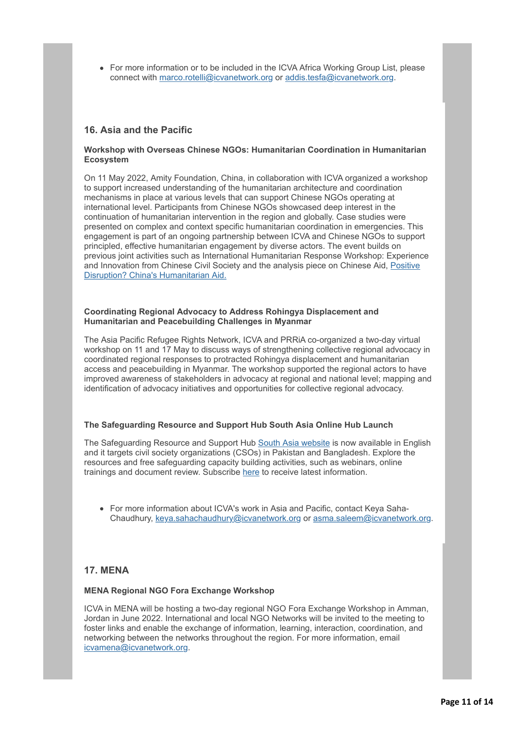• For more information or to be included in the ICVA Africa Working Group List, please connect with [marco.rotelli@icvanetwork.org](http://icvanetwork.org/civicrm/?civiwp=CiviCRM&q=civicrm/mailing/url&u=19248&qid=1033019) or [addis.tesfa@icvanetwork.org.](http://icvanetwork.org/civicrm/?civiwp=CiviCRM&q=civicrm/mailing/url&u=19249&qid=1033019)

### **16. Asia and the Pacific**

#### **Workshop with Overseas Chinese NGOs: Humanitarian Coordination in Humanitarian Ecosystem**

On 11 May 2022, Amity Foundation, China, in collaboration with ICVA organized a workshop to support increased understanding of the humanitarian architecture and coordination mechanisms in place at various levels that can support Chinese NGOs operating at international level. Participants from Chinese NGOs showcased deep interest in the continuation of humanitarian intervention in the region and globally. Case studies were presented on complex and context specific humanitarian coordination in emergencies. This engagement is part of an ongoing partnership between ICVA and Chinese NGOs to support principled, effective humanitarian engagement by diverse actors. The event builds on previous joint activities such as International Humanitarian Response Workshop: Experience [and Innovation from Chinese Civil Society and the analysis piece on Chinese Aid, Positive](http://icvanetwork.org/civicrm/?civiwp=CiviCRM&q=civicrm/mailing/url&u=19250&qid=1033019) Disruption? China's Humanitarian Aid.

#### **Coordinating Regional Advocacy to Address Rohingya Displacement and Humanitarian and Peacebuilding Challenges in Myanmar**

The Asia Pacific Refugee Rights Network, ICVA and PRRiA co-organized a two-day virtual workshop on 11 and 17 May to discuss ways of strengthening collective regional advocacy in coordinated regional responses to protracted Rohingya displacement and humanitarian access and peacebuilding in Myanmar. The workshop supported the regional actors to have improved awareness of stakeholders in advocacy at regional and national level; mapping and identification of advocacy initiatives and opportunities for collective regional advocacy.

#### **The Safeguarding Resource and Support Hub South Asia Online Hub Launch**

The Safeguarding Resource and Support Hub [South Asia website](http://icvanetwork.org/civicrm/?civiwp=CiviCRM&q=civicrm/mailing/url&u=19251&qid=1033019) is now available in English and it targets civil society organizations (CSOs) in Pakistan and Bangladesh. Explore the resources and free safeguarding capacity building activities, such as webinars, online trainings and document review. Subscribe [here](http://icvanetwork.org/civicrm/?civiwp=CiviCRM&q=civicrm/mailing/url&u=19252&qid=1033019) to receive latest information.

For more information about ICVA's work in Asia and Pacific, contact Keya Saha-Chaudhury, [keya.sahachaudhury@icvanetwork.org](http://icvanetwork.org/civicrm/?civiwp=CiviCRM&q=civicrm/mailing/url&u=19253&qid=1033019) or [asma.saleem@icvanetwork.org](http://icvanetwork.org/civicrm/?civiwp=CiviCRM&q=civicrm/mailing/url&u=19254&qid=1033019).

### **17. MENA**

#### **MENA Regional NGO Fora Exchange Workshop**

ICVA in MENA will be hosting a two-day regional NGO Fora Exchange Workshop in Amman, Jordan in June 2022. International and local NGO Networks will be invited to the meeting to foster links and enable the exchange of information, learning, interaction, coordination, and networking between the networks throughout the region. For more information, email [icvamena@icvanetwork.org](http://icvanetwork.org/civicrm/?civiwp=CiviCRM&q=civicrm/mailing/url&u=19255&qid=1033019).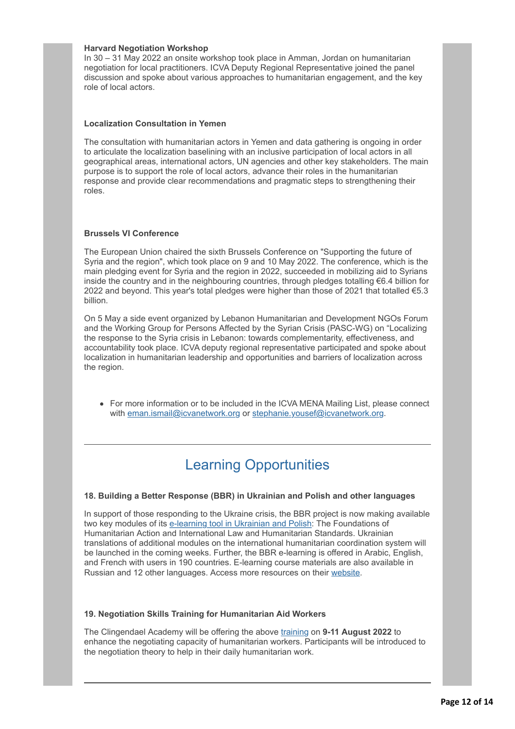#### **Harvard Negotiation Workshop**

In 30 – 31 May 2022 an onsite workshop took place in Amman, Jordan on humanitarian negotiation for local practitioners. ICVA Deputy Regional Representative joined the panel discussion and spoke about various approaches to humanitarian engagement, and the key role of local actors.

#### **Localization Consultation in Yemen**

The consultation with humanitarian actors in Yemen and data gathering is ongoing in order to articulate the localization baselining with an inclusive participation of local actors in all geographical areas, international actors, UN agencies and other key stakeholders. The main purpose is to support the role of local actors, advance their roles in the humanitarian response and provide clear recommendations and pragmatic steps to strengthening their roles.

#### **Brussels VI Conference**

The European Union chaired the sixth Brussels Conference on "Supporting the future of Syria and the region", which took place on 9 and 10 May 2022. The conference, which is the main pledging event for Syria and the region in 2022, succeeded in mobilizing aid to Syrians inside the country and in the neighbouring countries, through pledges totalling €6.4 billion for 2022 and beyond. This year's total pledges were higher than those of 2021 that totalled €5.3 billion.

On 5 May a side event organized by Lebanon Humanitarian and Development NGOs Forum and the Working Group for Persons Affected by the Syrian Crisis (PASC-WG) on "Localizing the response to the Syria crisis in Lebanon: towards complementarity, effectiveness, and accountability took place. ICVA deputy regional representative participated and spoke about localization in humanitarian leadership and opportunities and barriers of localization across the region.

• For more information or to be included in the ICVA MENA Mailing List, please connect with [eman.ismail@icvanetwork.org](http://icvanetwork.org/civicrm/?civiwp=CiviCRM&q=civicrm/mailing/url&u=19245&qid=1033019) or stephanie.vousef@icvanetwork.org.

# Learning Opportunities

#### **18. Building a Better Response (BBR) in Ukrainian and Polish and other languages**

In support of those responding to the Ukraine crisis, the BBR project is now making available two key modules of its [e-learning tool in Ukrainian and Polish](http://icvanetwork.org/civicrm/?civiwp=CiviCRM&q=civicrm/mailing/url&u=19257&qid=1033019): The Foundations of Humanitarian Action and International Law and Humanitarian Standards. Ukrainian translations of additional modules on the international humanitarian coordination system will be launched in the coming weeks. Further, the BBR e-learning is offered in Arabic, English, and French with users in 190 countries. E-learning course materials are also available in Russian and 12 other languages. Access more resources on their [website.](http://icvanetwork.org/civicrm/?civiwp=CiviCRM&q=civicrm/mailing/url&u=19258&qid=1033019)

#### **19. Negotiation Skills Training for Humanitarian Aid Workers**

The Clingendael Academy will be offering the above [training](http://icvanetwork.org/civicrm/?civiwp=CiviCRM&q=civicrm/mailing/url&u=19259&qid=1033019) on **9-11 August 2022** to enhance the negotiating capacity of humanitarian workers. Participants will be introduced to the negotiation theory to help in their daily humanitarian work.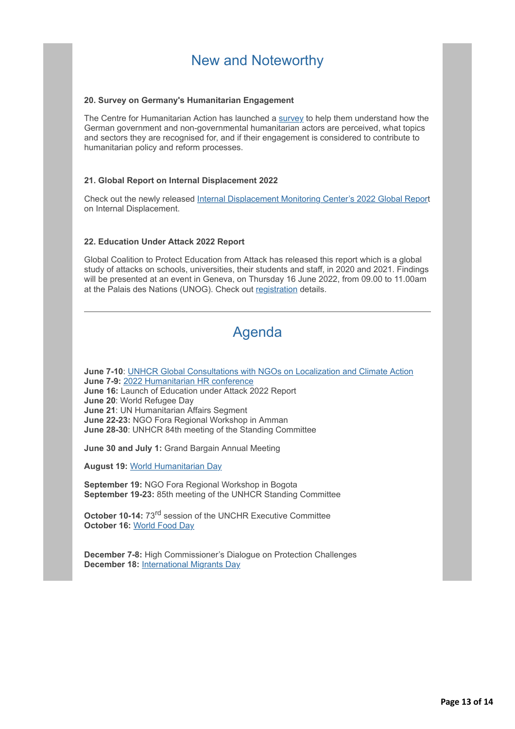# New and Noteworthy

#### **20. Survey on Germany's Humanitarian Engagement**

The Centre for Humanitarian Action has launched a [survey](http://icvanetwork.org/civicrm/?civiwp=CiviCRM&q=civicrm/mailing/url&u=19260&qid=1033019) to help them understand how the German government and non-governmental humanitarian actors are perceived, what topics and sectors they are recognised for, and if their engagement is considered to contribute to humanitarian policy and reform processes.

#### **21. Global Report on Internal Displacement 2022**

Check out the newly released [Internal Displacement Monitoring Center's 2022 Global Repor](http://icvanetwork.org/civicrm/?civiwp=CiviCRM&q=civicrm/mailing/url&u=19261&qid=1033019)t on Internal Displacement.

#### **22. Education Under Attack 2022 Report**

Global Coalition to Protect Education from Attack has released this report which is a global study of attacks on schools, universities, their students and staff, in 2020 and 2021. Findings will be presented at an event in Geneva, on Thursday 16 June 2022, from 09.00 to 11.00am at the Palais des Nations (UNOG). Check out [registration](http://icvanetwork.org/civicrm/?civiwp=CiviCRM&q=civicrm/mailing/url&u=19262&qid=1033019) details.

# Agenda

**June 7-10**: [UNHCR Global Consultations with NGOs on Localization and Climate Action](http://icvanetwork.org/civicrm/?civiwp=CiviCRM&q=civicrm/mailing/url&u=19220&qid=1033019) **June 7-9:** [2022 Humanitarian HR conference](http://icvanetwork.org/civicrm/?civiwp=CiviCRM&q=civicrm/mailing/url&u=19263&qid=1033019) **June 16:** Launch of Education under Attack 2022 Report **June 20**: World Refugee Day **June 21**: UN Humanitarian Affairs Segment **June 22-23:** NGO Fora Regional Workshop in Amman **June 28-30**: UNHCR 84th meeting of the Standing Committee

**June 30 and July 1:** Grand Bargain Annual Meeting

**August 19:** [World Humanitarian Day](http://icvanetwork.org/civicrm/?civiwp=CiviCRM&q=civicrm/mailing/url&u=19269&qid=1033019)

**September 19:** NGO Fora Regional Workshop in Bogota **September 19-23:** 85th meeting of the UNHCR Standing Committee

**October 10-14:** 73rd session of the UNCHR Executive Committee **October 16:** [World Food Day](http://icvanetwork.org/civicrm/?civiwp=CiviCRM&q=civicrm/mailing/url&u=19264&qid=1033019)

**December 7-8:** High Commissioner's Dialogue on Protection Challenges **December 18:** [International Migrants Day](http://icvanetwork.org/civicrm/?civiwp=CiviCRM&q=civicrm/mailing/url&u=19265&qid=1033019)